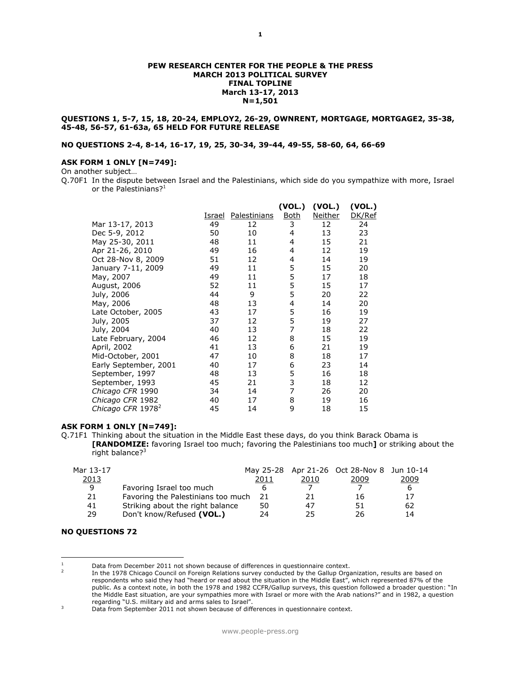### **PEW RESEARCH CENTER FOR THE PEOPLE & THE PRESS MARCH 2013 POLITICAL SURVEY FINAL TOPLINE March 13-17, 2013 N=1,501**

### **QUESTIONS 1, 5-7, 15, 18, 20-24, EMPLOY2, 26-29, OWNRENT, MORTGAGE, MORTGAGE2, 35-38, 45-48, 56-57, 61-63a, 65 HELD FOR FUTURE RELEASE**

## **NO QUESTIONS 2-4, 8-14, 16-17, 19, 25, 30-34, 39-44, 49-55, 58-60, 64, 66-69**

### **ASK FORM 1 ONLY [N=749]:**

On another subject…

Q.70F1 In the dispute between Israel and the Palestinians, which side do you sympathize with more, Israel or the Palestinians? $1$ 

|                               |        |              | (VOL.)         | (VOL.)         | (VOL.) |
|-------------------------------|--------|--------------|----------------|----------------|--------|
|                               | Israel | Palestinians | <b>Both</b>    | <b>Neither</b> | DK/Ref |
| Mar 13-17, 2013               | 49     | 12           | 3              | 12             | 24     |
| Dec 5-9, 2012                 | 50     | 10           | 4              | 13             | 23     |
| May 25-30, 2011               | 48     | 11           | 4              | 15             | 21     |
| Apr 21-26, 2010               | 49     | 16           | 4              | 12             | 19     |
| Oct 28-Nov 8, 2009            | 51     | 12           | 4              | 14             | 19     |
| January 7-11, 2009            | 49     | 11           | 5              | 15             | 20     |
| May, 2007                     | 49     | 11           | 5              | 17             | 18     |
| August, 2006                  | 52     | 11           | 5              | 15             | 17     |
| July, 2006                    | 44     | 9            | 5              | 20             | 22     |
| May, 2006                     | 48     | 13           | 4              | 14             | 20     |
| Late October, 2005            | 43     | 17           | 5              | 16             | 19     |
| July, 2005                    | 37     | 12           | 5              | 19             | 27     |
| July, 2004                    | 40     | 13           | 7              | 18             | 22     |
| Late February, 2004           | 46     | 12           | 8              | 15             | 19     |
| April, 2002                   | 41     | 13           | 6              | 21             | 19     |
| Mid-October, 2001             | 47     | 10           | 8              | 18             | 17     |
| Early September, 2001         | 40     | 17           | 6              | 23             | 14     |
| September, 1997               | 48     | 13           | 5              | 16             | 18     |
| September, 1993               | 45     | 21           | 3              | 18             | 12     |
| Chicago CFR 1990              | 34     | 14           | $\overline{7}$ | 26             | 20     |
| Chicago CFR 1982              | 40     | 17           | 8              | 19             | 16     |
| Chicago CFR 1978 <sup>2</sup> | 45     | 14           | 9              | 18             | 15     |

## **ASK FORM 1 ONLY [N=749]:**

Q.71F1 Thinking about the situation in the Middle East these days, do you think Barack Obama is **[RANDOMIZE:** favoring Israel too much; favoring the Palestinians too much**]** or striking about the right balance?<sup>3</sup>

|                                  | 2011 | 2010                               | 2009 | 2009                                       |
|----------------------------------|------|------------------------------------|------|--------------------------------------------|
| Favoring Israel too much         |      |                                    |      | h                                          |
|                                  | -21  | 21                                 | 16   |                                            |
| Striking about the right balance | 50   | 47                                 | 51   | 62                                         |
| Don't know/Refused (VOL.)        | 24   | 25                                 | 26   | 14                                         |
|                                  |      | Favoring the Palestinians too much |      | May 25-28 Apr 21-26 Oct 28-Nov 8 Jun 10-14 |

#### **NO QUESTIONS 72**

 $\overline{a}$ 

Data from December 2011 not shown because of differences in questionnaire context.

<sup>2</sup> In the 1978 Chicago Council on Foreign Relations survey conducted by the Gallup Organization, results are based on respondents who said they had "heard or read about the situation in the Middle East", which represented 87% of the public. As a context note, in both the 1978 and 1982 CCFR/Gallup surveys, this question followed a broader question: "In the Middle East situation, are your sympathies more with Israel or more with the Arab nations?" and in 1982, a question regarding "U.S. military aid and arms sales to Israel".

<sup>&</sup>lt;sup>3</sup> Data from September 2011 not shown because of differences in questionnaire context.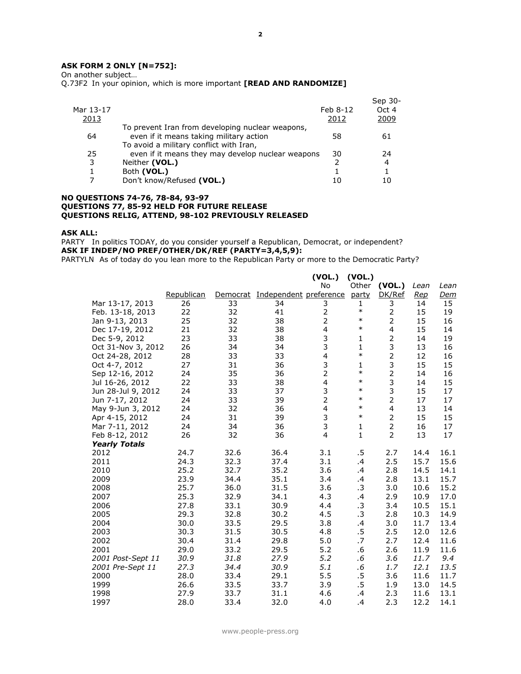## **ASK FORM 2 ONLY [N=752]:**

On another subject…

Q.73F2 In your opinion, which is more important **[READ AND RANDOMIZE]**

|              |                                                   |               | Sep 30- |
|--------------|---------------------------------------------------|---------------|---------|
| Mar 13-17    |                                                   | Feb 8-12      | Oct 4   |
| <u> 2013</u> |                                                   | 2012          | 2009    |
|              | To prevent Iran from developing nuclear weapons,  |               |         |
| 64           | even if it means taking military action           | 58            | 61      |
|              | To avoid a military conflict with Iran,           |               |         |
| 25           | even if it means they may develop nuclear weapons | 30            | 24      |
| 3            | Neither (VOL.)                                    | $\mathcal{P}$ | 4       |
|              | Both (VOL.)                                       |               |         |
|              | Don't know/Refused (VOL.)                         | 10            |         |
|              |                                                   |               |         |

### **NO QUESTIONS 74-76, 78-84, 93-97 QUESTIONS 77, 85-92 HELD FOR FUTURE RELEASE QUESTIONS RELIG, ATTEND, 98-102 PREVIOUSLY RELEASED**

### **ASK ALL:**

PARTY In politics TODAY, do you consider yourself a Republican, Democrat, or independent? **ASK IF INDEP/NO PREF/OTHER/DK/REF (PARTY=3,4,5,9):**

PARTYLN As of today do you lean more to the Republican Party or more to the Democratic Party?

|                      |            |          |                        | (VOL.)                  | (VOL.)       |                |            |            |
|----------------------|------------|----------|------------------------|-------------------------|--------------|----------------|------------|------------|
|                      |            |          |                        | <b>No</b>               | Other        | (VOL.)         | Lean       | Lean       |
|                      | Republican | Democrat | Independent preference |                         | party        | DK/Ref         | <u>Rep</u> | <u>Dem</u> |
| Mar 13-17, 2013      | 26         | 33       | 34                     | 3                       | 1            | 3              | 14         | 15         |
| Feb. 13-18, 2013     | 22         | 32       | 41                     | 2                       | $\ast$       | 2              | 15         | 19         |
| Jan 9-13, 2013       | 25         | 32       | 38                     | 2                       | $\ast$       | 2              | 15         | 16         |
| Dec 17-19, 2012      | 21         | 32       | 38                     | $\overline{\mathbf{4}}$ | $\ast$       | 4              | 15         | 14         |
| Dec 5-9, 2012        | 23         | 33       | 38                     | 3                       | $\mathbf{1}$ | 2              | 14         | 19         |
| Oct 31-Nov 3, 2012   | 26         | 34       | 34                     | 3                       | $\mathbf{1}$ | 3              | 13         | 16         |
| Oct 24-28, 2012      | 28         | 33       | 33                     | 4                       | $\ast$       | $\overline{2}$ | 12         | 16         |
| Oct 4-7, 2012        | 27         | 31       | 36                     | 3                       | $\mathbf{1}$ | 3              | 15         | 15         |
| Sep 12-16, 2012      | 24         | 35       | 36                     | $\overline{2}$          | $\ast$       | $\overline{2}$ | 14         | 16         |
| Jul 16-26, 2012      | 22         | 33       | 38                     | $\overline{4}$          | $\ast$       | 3              | 14         | 15         |
| Jun 28-Jul 9, 2012   | 24         | 33       | 37                     | 3                       | $\ast$       | 3              | 15         | 17         |
| Jun 7-17, 2012       | 24         | 33       | 39                     | $\overline{2}$          | $\ast$       | $\overline{2}$ | 17         | 17         |
| May 9-Jun 3, 2012    | 24         | 32       | 36                     | $\overline{4}$          | $\ast$       | 4              | 13         | 14         |
| Apr 4-15, 2012       | 24         | 31       | 39                     | 3                       | $\ast$       | $\overline{2}$ | 15         | 15         |
| Mar 7-11, 2012       | 24         | 34       | 36                     | 3                       | 1            | $\overline{2}$ | 16         | 17         |
| Feb 8-12, 2012       | 26         | 32       | 36                     | 4                       | $\mathbf{1}$ | $\overline{2}$ | 13         | 17         |
| <b>Yearly Totals</b> |            |          |                        |                         |              |                |            |            |
| 2012                 | 24.7       | 32.6     | 36.4                   | 3.1                     | .5           | 2.7            | 14.4       | 16.1       |
| 2011                 | 24.3       | 32.3     | 37.4                   | 3.1                     | .4           | 2.5            | 15.7       | 15.6       |
| 2010                 | 25.2       | 32.7     | 35.2                   | 3.6                     | .4           | 2.8            | 14.5       | 14.1       |
| 2009                 | 23.9       | 34.4     | 35.1                   | 3.4                     | $\cdot$      | 2.8            | 13.1       | 15.7       |
| 2008                 | 25.7       | 36.0     | 31.5                   | 3.6                     | .3           | 3.0            | 10.6       | 15.2       |
| 2007                 | 25.3       | 32.9     | 34.1                   | 4.3                     | .4           | 2.9            | 10.9       | 17.0       |
| 2006                 | 27.8       | 33.1     | 30.9                   | 4.4                     | .3           | 3.4            | 10.5       | 15.1       |
| 2005                 | 29.3       | 32.8     | 30.2                   | 4.5                     | .3           | 2.8            | 10.3       | 14.9       |
| 2004                 | 30.0       | 33.5     | 29.5                   | 3.8                     | .4           | 3.0            | 11.7       | 13.4       |
| 2003                 | 30.3       | 31.5     | 30.5                   | 4.8                     | .5           | 2.5            | 12.0       | 12.6       |
| 2002                 | 30.4       | 31.4     | 29.8                   | 5.0                     | .7           | 2.7            | 12.4       | 11.6       |
| 2001                 | 29.0       | 33.2     | 29.5                   | 5.2                     | .6           | 2.6            | 11.9       | 11.6       |
| 2001 Post-Sept 11    | 30.9       | 31.8     | 27.9                   | 5.2                     | .6           | 3.6            | 11.7       | 9.4        |
| 2001 Pre-Sept 11     | 27.3       | 34.4     | 30.9                   | 5.1                     | .6           | 1.7            | 12.1       | 13.5       |
| 2000                 | 28.0       | 33.4     | 29.1                   | 5.5                     | .5           | 3.6            | 11.6       | 11.7       |
| 1999                 | 26.6       | 33.5     | 33.7                   | 3.9                     | .5           | 1.9            | 13.0       | 14.5       |
| 1998                 | 27.9       | 33.7     | 31.1                   | 4.6                     | .4           | 2.3            | 11.6       | 13.1       |
| 1997                 | 28.0       | 33.4     | 32.0                   | 4.0                     | .4           | 2.3            | 12.2       | 14.1       |